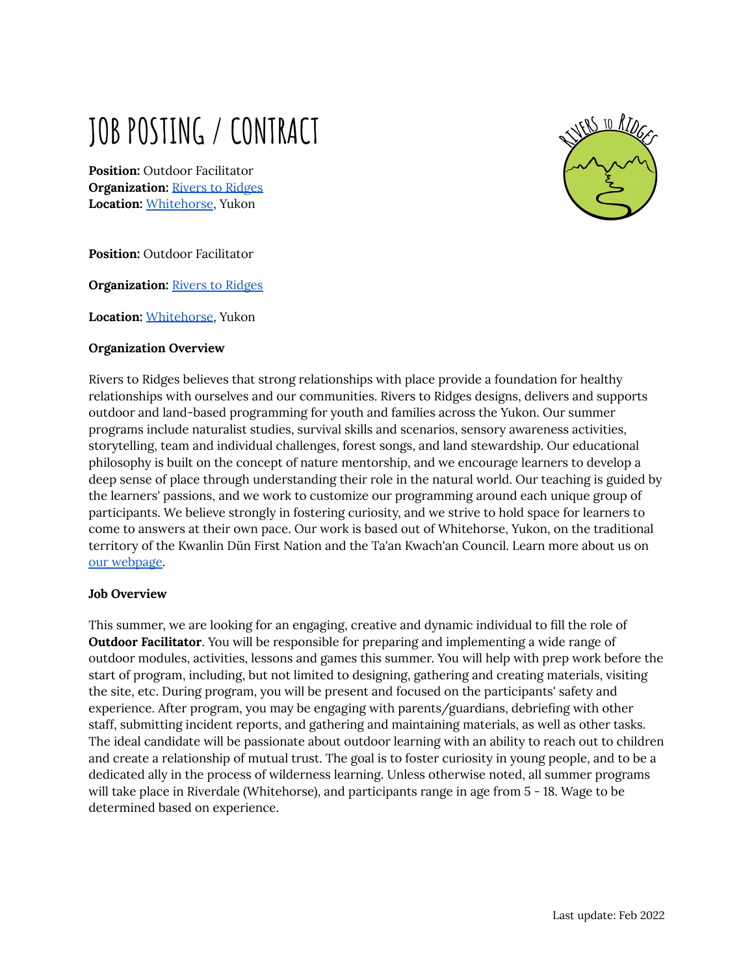# **JOB POSTING/CONTRACT**

**Position:** Outdoor Facilitator **Organization:** Rivers to [Ridges](http://www.riverst/) **Location:** [Whitehorse](https://www.goodwork.ca/job-map.php?t=m&z=4&q=Whitehorse,+YT,+Canada), Yukon



**Position:** Outdoor Facilitator

**Organization:** Rivers to [Ridges](http://www.riverst/)

**Location:** [Whitehorse](https://www.goodwork.ca/job-map.php?t=m&z=4&q=Whitehorse,+YT,+Canada), Yukon

## **Organization Overview**

Rivers to Ridges believes that strong relationships with place provide a foundation for healthy relationships with ourselves and our communities. Rivers to Ridges designs, delivers and supports outdoor and land-based programming for youth and families across the Yukon. Our summer programs include naturalist studies, survival skills and scenarios, sensory awareness activities, storytelling, team and individual challenges, forest songs, and land stewardship. Our educational philosophy is built on the concept of nature mentorship, and we encourage learners to develop a deep sense of place through understanding their role in the natural world. Our teaching is guided by the learners' passions, and we work to customize our programming around each unique group of participants. We believe strongly in fostering curiosity, and we strive to hold space for learners to come to answers at their own pace. Our work is based out of Whitehorse, Yukon, on the traditional territory of the Kwanlin Dün First Nation and the Ta'an Kwach'an Council. Learn more about us o[n](http://www.riverstoridges.org/) our [webpage.](http://www.riverstoridges.org/)

#### **Job Overview**

This summer, we are looking for an engaging, creative and dynamic individual to fill the role of **Outdoor Facilitator**. You will be responsible for preparing and implementing a wide range of outdoor modules, activities, lessons and games this summer. You will help with prep work before the start of program, including, but not limited to designing, gathering and creating materials, visiting the site, etc. During program, you will be present and focused on the participants' safety and experience. After program, you may be engaging with parents/guardians, debriefing with other staff, submitting incident reports, and gathering and maintaining materials, as well as other tasks. The ideal candidate will be passionate about outdoor learning with an ability to reach out to children and create a relationship of mutual trust. The goal is to foster curiosity in young people, and to be a dedicated ally in the process of wilderness learning. Unless otherwise noted, all summer programs will take place in Riverdale (Whitehorse), and participants range in age from 5 - 18. Wage to be determined based on experience.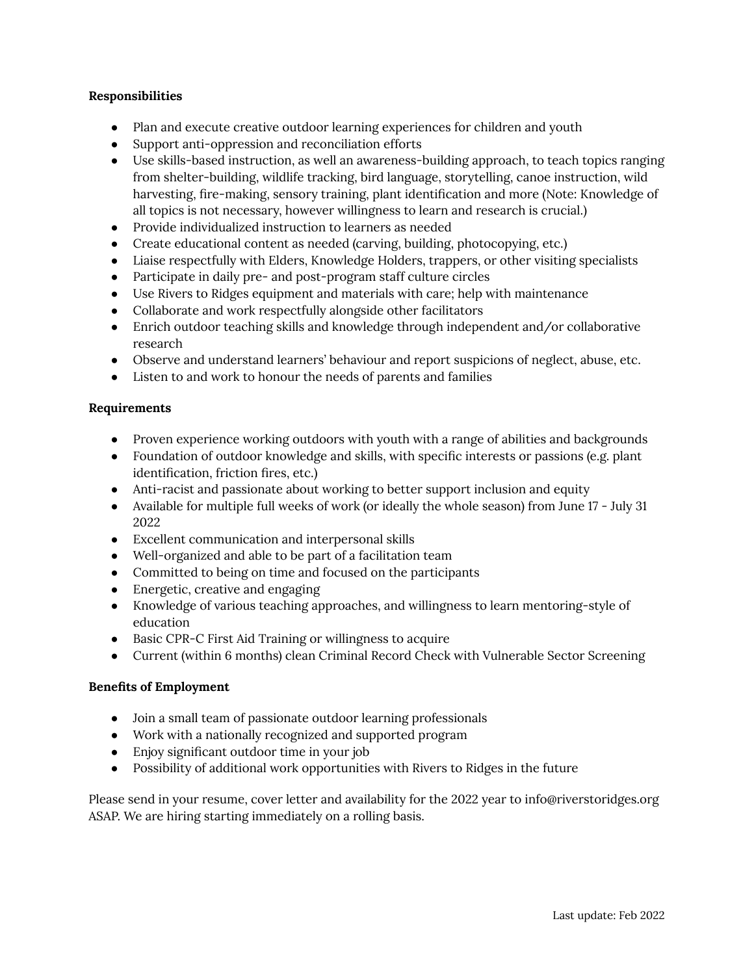## **Responsibilities**

- Plan and execute creative outdoor learning experiences for children and youth
- Support anti-oppression and reconciliation efforts
- Use skills-based instruction, as well an awareness-building approach, to teach topics ranging from shelter-building, wildlife tracking, bird language, storytelling, canoe instruction, wild harvesting, fire-making, sensory training, plant identification and more (Note: Knowledge of all topics is not necessary, however willingness to learn and research is crucial.)
- Provide individualized instruction to learners as needed
- Create educational content as needed (carving, building, photocopying, etc.)
- Liaise respectfully with Elders, Knowledge Holders, trappers, or other visiting specialists
- Participate in daily pre- and post-program staff culture circles
- Use Rivers to Ridges equipment and materials with care; help with maintenance
- Collaborate and work respectfully alongside other facilitators
- Enrich outdoor teaching skills and knowledge through independent and/or collaborative research
- Observe and understand learners' behaviour and report suspicions of neglect, abuse, etc.
- Listen to and work to honour the needs of parents and families

#### **Requirements**

- Proven experience working outdoors with youth with a range of abilities and backgrounds
- Foundation of outdoor knowledge and skills, with specific interests or passions (e.g. plant identification, friction fires, etc.)
- Anti-racist and passionate about working to better support inclusion and equity
- Available for multiple full weeks of work (or ideally the whole season) from June 17 July 31 2022
- Excellent communication and interpersonal skills
- Well-organized and able to be part of a facilitation team
- Committed to being on time and focused on the participants
- Energetic, creative and engaging
- Knowledge of various teaching approaches, and willingness to learn mentoring-style of education
- Basic CPR-C First Aid Training or willingness to acquire
- Current (within 6 months) clean Criminal Record Check with Vulnerable Sector Screening

## **Benefits of Employment**

- Join a small team of passionate outdoor learning professionals
- Work with a nationally recognized and supported program
- Enjoy significant outdoor time in your job
- Possibility of additional work opportunities with Rivers to Ridges in the future

Please send in your resume, cover letter and availability for the 2022 year to info@riverstoridges.org ASAP. We are hiring starting immediately on a rolling basis.